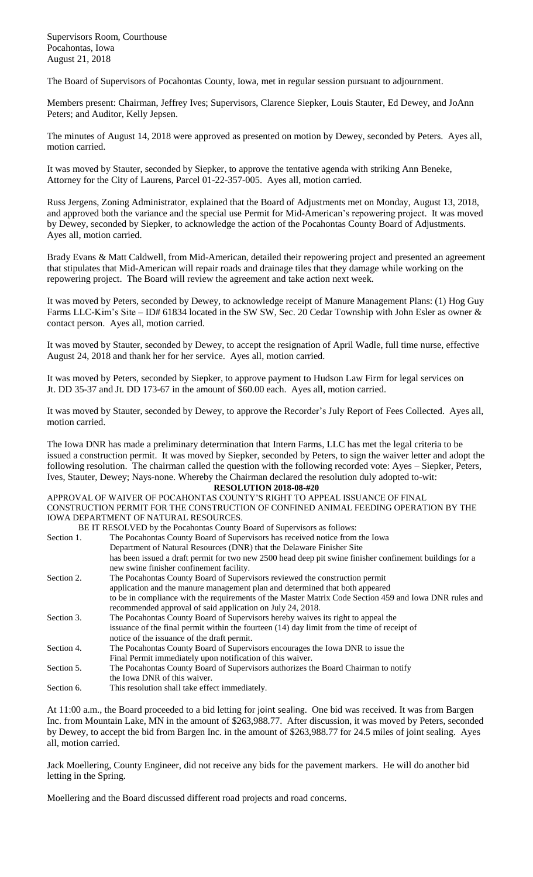Supervisors Room, Courthouse Pocahontas, Iowa August 21, 2018

The Board of Supervisors of Pocahontas County, Iowa, met in regular session pursuant to adjournment.

Members present: Chairman, Jeffrey Ives; Supervisors, Clarence Siepker, Louis Stauter, Ed Dewey, and JoAnn Peters; and Auditor, Kelly Jepsen.

The minutes of August 14, 2018 were approved as presented on motion by Dewey, seconded by Peters. Ayes all, motion carried.

It was moved by Stauter, seconded by Siepker, to approve the tentative agenda with striking Ann Beneke, Attorney for the City of Laurens, Parcel 01-22-357-005. Ayes all, motion carried.

Russ Jergens, Zoning Administrator, explained that the Board of Adjustments met on Monday, August 13, 2018, and approved both the variance and the special use Permit for Mid-American's repowering project. It was moved by Dewey, seconded by Siepker, to acknowledge the action of the Pocahontas County Board of Adjustments. Ayes all, motion carried.

Brady Evans & Matt Caldwell, from Mid-American, detailed their repowering project and presented an agreement that stipulates that Mid-American will repair roads and drainage tiles that they damage while working on the repowering project. The Board will review the agreement and take action next week.

It was moved by Peters, seconded by Dewey, to acknowledge receipt of Manure Management Plans: (1) Hog Guy Farms LLC-Kim's Site – ID# 61834 located in the SW SW, Sec. 20 Cedar Township with John Esler as owner & contact person. Ayes all, motion carried.

It was moved by Stauter, seconded by Dewey, to accept the resignation of April Wadle, full time nurse, effective August 24, 2018 and thank her for her service. Ayes all, motion carried.

It was moved by Peters, seconded by Siepker, to approve payment to Hudson Law Firm for legal services on Jt. DD 35-37 and Jt. DD 173-67 in the amount of \$60.00 each. Ayes all, motion carried.

It was moved by Stauter, seconded by Dewey, to approve the Recorder's July Report of Fees Collected. Ayes all, motion carried.

The Iowa DNR has made a preliminary determination that Intern Farms, LLC has met the legal criteria to be issued a construction permit. It was moved by Siepker, seconded by Peters, to sign the waiver letter and adopt the following resolution. The chairman called the question with the following recorded vote: Ayes – Siepker, Peters, Ives, Stauter, Dewey; Nays-none. Whereby the Chairman declared the resolution duly adopted to-wit: **RESOLUTION 2018-08-#20**

## APPROVAL OF WAIVER OF POCAHONTAS COUNTY'S RIGHT TO APPEAL ISSUANCE OF FINAL CONSTRUCTION PERMIT FOR THE CONSTRUCTION OF CONFINED ANIMAL FEEDING OPERATION BY THE IOWA DEPARTMENT OF NATURAL RESOURCES.

|            | BE IT RESOLVED by the Pocahontas County Board of Supervisors as follows:                                                                             |
|------------|------------------------------------------------------------------------------------------------------------------------------------------------------|
| Section 1. | The Pocahontas County Board of Supervisors has received notice from the Iowa                                                                         |
|            | Department of Natural Resources (DNR) that the Delaware Finisher Site                                                                                |
|            | has been issued a draft permit for two new 2500 head deep pit swine finisher confinement buildings for a<br>new swine finisher confinement facility. |
| Section 2. | The Pocahontas County Board of Supervisors reviewed the construction permit                                                                          |
|            | application and the manure management plan and determined that both appeared                                                                         |
|            | to be in compliance with the requirements of the Master Matrix Code Section 459 and Iowa DNR rules and                                               |
|            | recommended approval of said application on July 24, 2018.                                                                                           |
| Section 3. | The Pocahontas County Board of Supervisors hereby waives its right to appeal the                                                                     |
|            | issuance of the final permit within the fourteen (14) day limit from the time of receipt of                                                          |
|            | notice of the issuance of the draft permit.                                                                                                          |
| Section 4. | The Pocahontas County Board of Supervisors encourages the Iowa DNR to issue the                                                                      |
|            | Final Permit immediately upon notification of this waiver.                                                                                           |
| Section 5. | The Pocahontas County Board of Supervisors authorizes the Board Chairman to notify                                                                   |
|            | the Iowa DNR of this waiver.                                                                                                                         |
| Section 6. | This resolution shall take effect immediately.                                                                                                       |
|            |                                                                                                                                                      |

At 11:00 a.m., the Board proceeded to a bid letting for joint sealing. One bid was received. It was from Bargen Inc. from Mountain Lake, MN in the amount of \$263,988.77. After discussion, it was moved by Peters, seconded by Dewey, to accept the bid from Bargen Inc. in the amount of \$263,988.77 for 24.5 miles of joint sealing. Ayes all, motion carried.

Jack Moellering, County Engineer, did not receive any bids for the pavement markers. He will do another bid letting in the Spring.

Moellering and the Board discussed different road projects and road concerns.